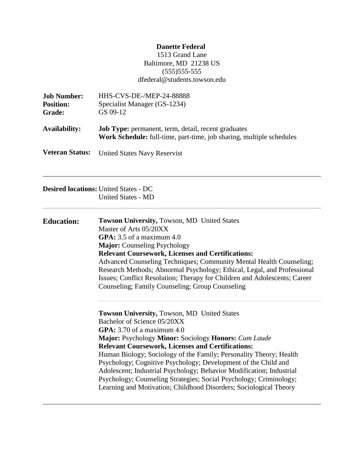# **Danette Federal**

1513 Grand Lane Baltimore, MD 21238 US (555)555-555 dfederal@students.towson.edu

| <b>Job Number:</b><br><b>Position:</b><br>Grade: | <b>HHS-CVS-DE-/MEP-24-88888</b><br>Specialist Manager (GS-1234)<br>GS 09-12                                                                                                                                                                                                                                                                                                                                                                                                                                                                                                                 |  |
|--------------------------------------------------|---------------------------------------------------------------------------------------------------------------------------------------------------------------------------------------------------------------------------------------------------------------------------------------------------------------------------------------------------------------------------------------------------------------------------------------------------------------------------------------------------------------------------------------------------------------------------------------------|--|
| <b>Availability:</b>                             | Job Type: permanent, term, detail, recent graduates<br>Work Schedule: full-time, part-time, job sharing, multiple schedules                                                                                                                                                                                                                                                                                                                                                                                                                                                                 |  |
| <b>Veteran Status:</b>                           | <b>United States Navy Reservist</b>                                                                                                                                                                                                                                                                                                                                                                                                                                                                                                                                                         |  |
|                                                  | <b>Desired locations: United States - DC</b><br><b>United States - MD</b>                                                                                                                                                                                                                                                                                                                                                                                                                                                                                                                   |  |
| <b>Education:</b>                                | <b>Towson University, Towson, MD United States</b><br>Master of Arts 05/20XX<br>GPA: $3.5$ of a maximum $4.0$<br>Major: Counseling Psychology<br><b>Relevant Coursework, Licenses and Certifications:</b><br>Advanced Counseling Techniques; Community Mental Health Counseling;<br>Research Methods; Abnormal Psychology; Ethical, Legal, and Professional<br>Issues; Conflict Resolution; Therapy for Children and Adolescents; Career<br>Counseling; Family Counseling; Group Counseling                                                                                                 |  |
|                                                  | Towson University, Towson, MD United States<br>Bachelor of Science 05/20XX<br>GPA: $3.70$ of a maximum $4.0$<br>Major: Psychology Minor: Sociology Honors: Cum Laude<br><b>Relevant Coursework, Licenses and Certifications:</b><br>Human Biology; Sociology of the Family; Personality Theory; Health<br>Psychology; Cognitive Psychology; Development of the Child and<br>Adolescent; Industrial Psychology; Behavior Modification; Industrial<br>Psychology; Counseling Strategies; Social Psychology; Criminology;<br>Learning and Motivation; Childhood Disorders; Sociological Theory |  |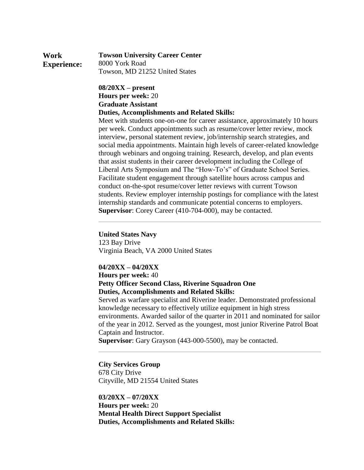| Work               | <b>Towson University Career Center</b> |
|--------------------|----------------------------------------|
| <b>Experience:</b> | 8000 York Road                         |
|                    | Towson, MD 21252 United States         |

### **08/20XX – present Hours per week:** 20 **Graduate Assistant Duties, Accomplishments and Related Skills:**

Meet with students one-on-one for career assistance, approximately 10 hours per week. Conduct appointments such as resume/cover letter review, mock interview, personal statement review, job/internship search strategies, and social media appointments. Maintain high levels of career-related knowledge through webinars and ongoing training. Research, develop, and plan events that assist students in their career development including the College of Liberal Arts Symposium and The "How-To's" of Graduate School Series. Facilitate student engagement through satellite hours across campus and conduct on-the-spot resume/cover letter reviews with current Towson students. Review employer internship postings for compliance with the latest internship standards and communicate potential concerns to employers. **Supervisor**: Corey Career (410-704-000), may be contacted.

### **United States Navy**

123 Bay Drive Virginia Beach, VA 2000 United States

### **04/20XX – 04/20XX**

**Hours per week:** 40

# **Petty Officer Second Class, Riverine Squadron One Duties, Accomplishments and Related Skills:**

Served as warfare specialist and Riverine leader. Demonstrated professional knowledge necessary to effectively utilize equipment in high stress environments. Awarded sailor of the quarter in 2011 and nominated for sailor of the year in 2012. Served as the youngest, most junior Riverine Patrol Boat Captain and Instructor.

**Supervisor**: Gary Grayson (443-000-5500), may be contacted.

### **City Services Group**

678 City Drive Cityville, MD 21554 United States

**03/20XX – 07/20XX Hours per week:** 20 **Mental Health Direct Support Specialist Duties, Accomplishments and Related Skills:**